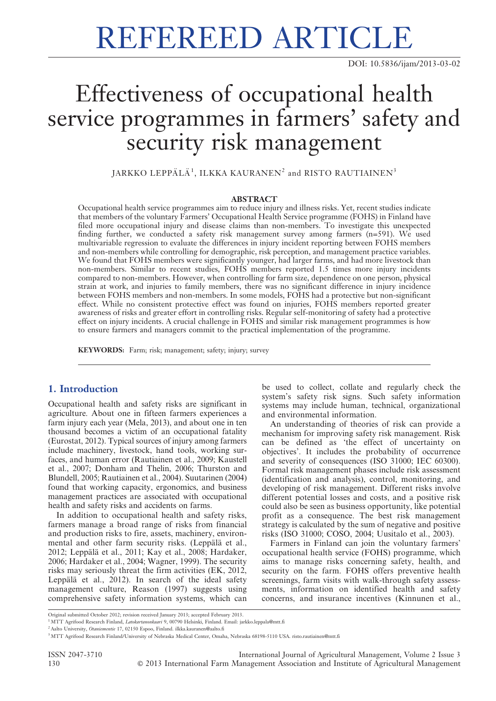# REFEREED ARTICLE

## Effectiveness of occupational health service programmes in farmers' safety and security risk management

 ${\rm JARKKO}$   ${\rm LEPP\ddot{A}L\ddot{A}}^1,$   ${\rm ILKKA}$   ${\rm KAWRANEN}^2$  and  ${\rm RISTO}$   ${\rm RAUTIAINEN}^3$ 

#### ABSTRACT

Occupational health service programmes aim to reduce injury and illness risks. Yet, recent studies indicate that members of the voluntary Farmers' Occupational Health Service programme (FOHS) in Finland have filed more occupational injury and disease claims than non-members. To investigate this unexpected finding further, we conducted a safety risk management survey among farmers (n=591). We used multivariable regression to evaluate the differences in injury incident reporting between FOHS members and non-members while controlling for demographic, risk perception, and management practice variables. We found that FOHS members were significantly younger, had larger farms, and had more livestock than non-members. Similar to recent studies, FOHS members reported 1.5 times more injury incidents compared to non-members. However, when controlling for farm size, dependence on one person, physical strain at work, and injuries to family members, there was no significant difference in injury incidence between FOHS members and non-members. In some models, FOHS had a protective but non-significant effect. While no consistent protective effect was found on injuries, FOHS members reported greater awareness of risks and greater effort in controlling risks. Regular self-monitoring of safety had a protective effect on injury incidents. A crucial challenge in FOHS and similar risk management programmes is how to ensure farmers and managers commit to the practical implementation of the programme.

KEYWORDS: Farm; risk; management; safety; injury; survey

#### 1. Introduction

Occupational health and safety risks are significant in agriculture. About one in fifteen farmers experiences a farm injury each year (Mela, 2013), and about one in ten thousand becomes a victim of an occupational fatality (Eurostat, 2012). Typical sources of injury among farmers include machinery, livestock, hand tools, working surfaces, and human error (Rautiainen et al., 2009; Kaustell et al., 2007; Donham and Thelin, 2006; Thurston and Blundell, 2005; Rautiainen et al., 2004). Suutarinen (2004) found that working capacity, ergonomics, and business management practices are associated with occupational health and safety risks and accidents on farms.

In addition to occupational health and safety risks, farmers manage a broad range of risks from financial and production risks to fire, assets, machinery, environmental and other farm security risks. (Leppälä et al., 2012; Leppälä et al., 2011; Kay et al., 2008; Hardaker, 2006; Hardaker et al., 2004; Wagner, 1999). The security risks may seriously threat the firm activities (EK, 2012, Leppälä et al., 2012). In search of the ideal safety management culture, Reason (1997) suggests using comprehensive safety information systems, which can

be used to collect, collate and regularly check the system's safety risk signs. Such safety information systems may include human, technical, organizational and environmental information.

An understanding of theories of risk can provide a mechanism for improving safety risk management. Risk can be defined as 'the effect of uncertainty on objectives'. It includes the probability of occurrence and severity of consequences (ISO 31000; IEC 60300). Formal risk management phases include risk assessment (identification and analysis), control, monitoring, and developing of risk management. Different risks involve different potential losses and costs, and a positive risk could also be seen as business opportunity, like potential profit as a consequence. The best risk management strategy is calculated by the sum of negative and positive risks (ISO 31000; COSO, 2004; Uusitalo et al., 2003).

Farmers in Finland can join the voluntary farmers' occupational health service (FOHS) programme, which aims to manage risks concerning safety, health, and security on the farm. FOHS offers preventive health screenings, farm visits with walk-through safety assessments, information on identified health and safety concerns, and insurance incentives (Kinnunen et al.,

ISSN 2047-3710 International Journal of Agricultural Management, Volume 2 Issue 3 130 **C** 2013 International Farm Management Association and Institute of Agricultural Management

Original submitted October 2012; revision received January 2013; accepted February 2013.

<sup>&</sup>lt;sup>1</sup>MTT Agrifood Research Finland, *Latokartanonkaari* 9, 00790 Helsinki, Finland. Email: jarkko.leppala@mtt.fi

<sup>&</sup>lt;sup>2</sup> Aalto University, Otaniementie 17, 02150 Espoo, Finland. ilkka.kauranen@aalto.fi

<sup>&</sup>lt;sup>3</sup> MTT Agrifood Research Finland/University of Nebraska Medical Center, Omaha, Nebraska 68198-5110 USA. risto.rautiainen@mtt.fi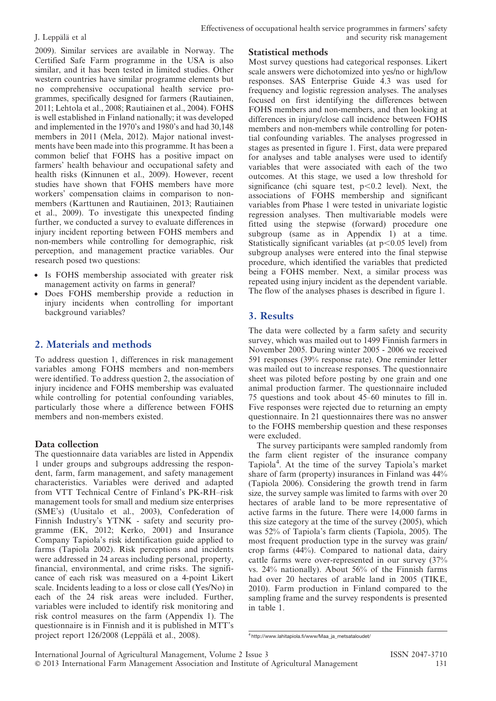2009). Similar services are available in Norway. The Certified Safe Farm programme in the USA is also similar, and it has been tested in limited studies. Other western countries have similar programme elements but no comprehensive occupational health service programmes, specifically designed for farmers (Rautiainen, 2011; Lehtola et al., 2008; Rautiainen et al., 2004). FOHS is well established in Finland nationally; it was developed and implemented in the 1970's and 1980's and had 30,148 members in 2011 (Mela, 2012). Major national investments have been made into this programme. It has been a common belief that FOHS has a positive impact on farmers' health behaviour and occupational safety and health risks (Kinnunen et al., 2009). However, recent studies have shown that FOHS members have more workers' compensation claims in comparison to nonmembers (Karttunen and Rautiainen, 2013; Rautiainen et al., 2009). To investigate this unexpected finding further, we conducted a survey to evaluate differences in injury incident reporting between FOHS members and non-members while controlling for demographic, risk perception, and management practice variables. Our research posed two questions:

- Is FOHS membership associated with greater risk management activity on farms in general?
- Does FOHS membership provide a reduction in injury incidents when controlling for important background variables?

#### 2. Materials and methods

To address question 1, differences in risk management variables among FOHS members and non-members were identified. To address question 2, the association of injury incidence and FOHS membership was evaluated while controlling for potential confounding variables, particularly those where a difference between FOHS members and non-members existed.

#### Data collection

The questionnaire data variables are listed in Appendix 1 under groups and subgroups addressing the respondent, farm, farm management, and safety management characteristics. Variables were derived and adapted from VTT Technical Centre of Finland's PK-RH–risk management tools for small and medium size enterprises (SME's) (Uusitalo et al., 2003), Confederation of Finnish Industry's YTNK - safety and security programme (EK, 2012; Kerko, 2001) and Insurance Company Tapiola's risk identification guide applied to farms (Tapiola 2002). Risk perceptions and incidents were addressed in 24 areas including personal, property, financial, environmental, and crime risks. The significance of each risk was measured on a 4-point Likert scale. Incidents leading to a loss or close call (Yes/No) in each of the 24 risk areas were included. Further, variables were included to identify risk monitoring and risk control measures on the farm (Appendix 1). The questionnaire is in Finnish and it is published in MTT's project report 126/2008 (Leppälä et al., 2008).

#### Statistical methods

Most survey questions had categorical responses. Likert scale answers were dichotomized into yes/no or high/low responses. SAS Enterprise Guide 4.3 was used for frequency and logistic regression analyses. The analyses focused on first identifying the differences between FOHS members and non-members, and then looking at differences in injury/close call incidence between FOHS members and non-members while controlling for potential confounding variables. The analyses progressed in stages as presented in figure 1. First, data were prepared for analyses and table analyses were used to identify variables that were associated with each of the two outcomes. At this stage, we used a low threshold for significance (chi square test,  $p<0.2$  level). Next, the associations of FOHS membership and significant variables from Phase 1 were tested in univariate logistic regression analyses. Then multivariable models were fitted using the stepwise (forward) procedure one subgroup (same as in Appendix 1) at a time. Statistically significant variables (at  $p<0.05$  level) from subgroup analyses were entered into the final stepwise procedure, which identified the variables that predicted being a FOHS member. Next, a similar process was repeated using injury incident as the dependent variable. The flow of the analyses phases is described in figure 1.

#### 3. Results

The data were collected by a farm safety and security survey, which was mailed out to 1499 Finnish farmers in November 2005. During winter 2005 - 2006 we received 591 responses (39% response rate). One reminder letter was mailed out to increase responses. The questionnaire sheet was piloted before posting by one grain and one animal production farmer. The questionnaire included 75 questions and took about 45–60 minutes to fill in. Five responses were rejected due to returning an empty questionnaire. In 21 questionnaires there was no answer to the FOHS membership question and these responses were excluded.

The survey participants were sampled randomly from the farm client register of the insurance company Tapiola4 . At the time of the survey Tapiola's market share of farm (property) insurances in Finland was 44% (Tapiola 2006). Considering the growth trend in farm size, the survey sample was limited to farms with over 20 hectares of arable land to be more representative of active farms in the future. There were 14,000 farms in this size category at the time of the survey (2005), which was 52% of Tapiola's farm clients (Tapiola, 2005). The most frequent production type in the survey was grain/ crop farms (44%). Compared to national data, dairy cattle farms were over-represented in our survey (37% vs. 24% nationally). About 56% of the Finnish farms had over 20 hectares of arable land in 2005 (TIKE, 2010). Farm production in Finland compared to the sampling frame and the survey respondents is presented in table 1.

<sup>4</sup> http://www.lahitapiola.fi/www/Maa\_ja\_metsataloudet/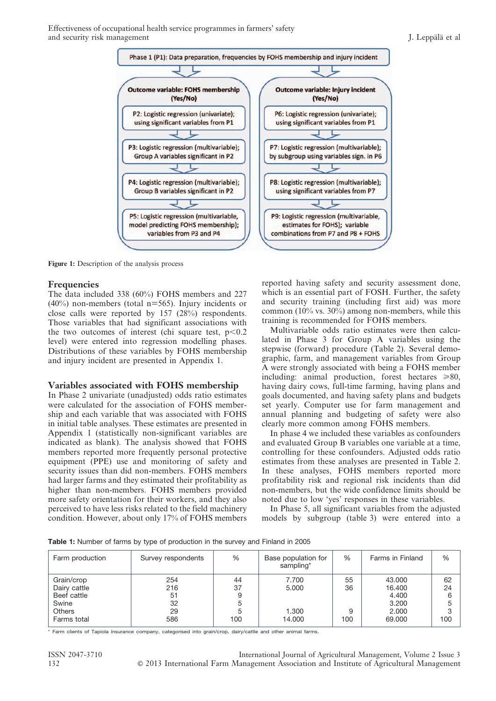Effectiveness of occupational health service programmes in farmers' safety and security risk management J. Leppaïla et al



Figure 1: Description of the analysis process

#### Frequencies

The data included 338 (60%) FOHS members and 227  $(40\%)$  non-members (total n=565). Injury incidents or close calls were reported by 157 (28%) respondents. Those variables that had significant associations with the two outcomes of interest (chi square test,  $p<0.2$ ) level) were entered into regression modelling phases. Distributions of these variables by FOHS membership and injury incident are presented in Appendix 1.

#### Variables associated with FOHS membership

In Phase 2 univariate (unadjusted) odds ratio estimates were calculated for the association of FOHS membership and each variable that was associated with FOHS in initial table analyses. These estimates are presented in Appendix 1 (statistically non-significant variables are indicated as blank). The analysis showed that FOHS members reported more frequently personal protective equipment (PPE) use and monitoring of safety and security issues than did non-members. FOHS members had larger farms and they estimated their profitability as higher than non-members. FOHS members provided more safety orientation for their workers, and they also perceived to have less risks related to the field machinery condition. However, about only 17% of FOHS members reported having safety and security assessment done, which is an essential part of FOSH. Further, the safety and security training (including first aid) was more common (10% vs. 30%) among non-members, while this training is recommended for FOHS members.

Multivariable odds ratio estimates were then calculated in Phase 3 for Group A variables using the stepwise (forward) procedure (Table 2). Several demographic, farm, and management variables from Group A were strongly associated with being a FOHS member including: animal production, forest hectares  $\geq 80$ , having dairy cows, full-time farming, having plans and goals documented, and having safety plans and budgets set yearly. Computer use for farm management and annual planning and budgeting of safety were also clearly more common among FOHS members.

In phase 4 we included these variables as confounders and evaluated Group B variables one variable at a time, controlling for these confounders. Adjusted odds ratio estimates from these analyses are presented in Table 2. In these analyses, FOHS members reported more profitability risk and regional risk incidents than did non-members, but the wide confidence limits should be noted due to low 'yes' responses in these variables.

In Phase 5, all significant variables from the adjusted models by subgroup (table 3) were entered into a

| Farm production                           | Survey respondents | $\%$     | Base population for<br>sampling* | %        | Farms in Finland          | %             |
|-------------------------------------------|--------------------|----------|----------------------------------|----------|---------------------------|---------------|
| Grain/crop<br>Dairy cattle<br>Beef cattle | 254<br>216<br>51   | 44<br>37 | 7.700<br>5.000                   | 55<br>36 | 43,000<br>16.400<br>4.400 | 62<br>24<br>6 |
| Swine<br><b>Others</b><br>Farms total     | 32<br>29<br>586    | 100      | 1.300<br>14.000                  | 9<br>100 | 3.200<br>2.000<br>69,000  | 5<br>3<br>100 |

Table 1: Number of farms by type of production in the survey and Finland in 2005

\* Farm clients of Tapiola insurance company, categorised into grain/crop, dairy/cattle and other animal farms.

ISSN 2047-3710 International Journal of Agricultural Management, Volume 2 Issue 3 132 **C** 2013 International Farm Management Association and Institute of Agricultural Management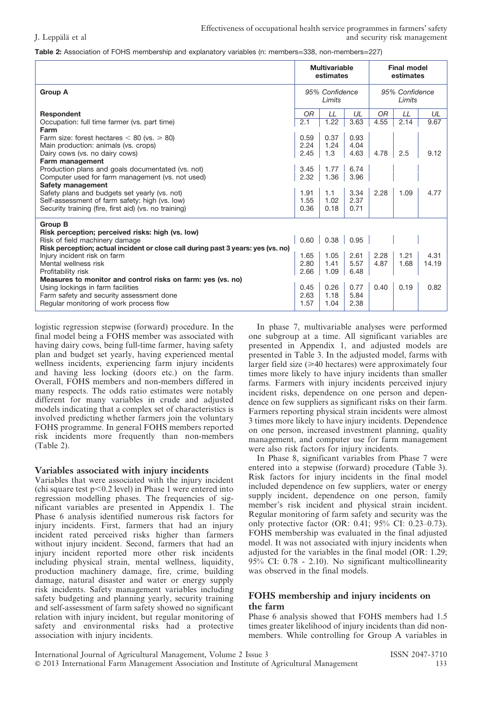| Table 2: Association of FOHS membership and explanatory variables (n: members=338, non-members=227) |  |  |  |
|-----------------------------------------------------------------------------------------------------|--|--|--|
|-----------------------------------------------------------------------------------------------------|--|--|--|

|                                                                                  | <b>Multivariable</b><br>estimates |      |      | <b>Final model</b><br>estimates |      |       |
|----------------------------------------------------------------------------------|-----------------------------------|------|------|---------------------------------|------|-------|
| <b>Group A</b>                                                                   | 95% Confidence<br>Limits          |      |      | 95% Confidence<br>Limits        |      |       |
| Respondent                                                                       | OR                                | LL   | UL   | <b>OR</b>                       | LL   | UL    |
| Occupation: full time farmer (vs. part time)                                     | 2.1                               | 1.22 | 3.63 | 4.55                            | 2.14 | 9.67  |
| Farm                                                                             |                                   |      |      |                                 |      |       |
| Farm size: forest hectares $< 80$ (vs. $\geq 80$ )                               | 0.59                              | 0.37 | 0.93 |                                 |      |       |
| Main production: animals (vs. crops)                                             | 2.24                              | 1.24 | 4.04 |                                 |      |       |
| Dairy cows (vs. no dairy cows)                                                   | 2.45                              | 1.3  | 4.63 | 4.78                            | 2.5  | 9.12  |
| Farm management                                                                  |                                   |      |      |                                 |      |       |
| Production plans and goals documentated (vs. not)                                | 3.45                              | 1.77 | 6.74 |                                 |      |       |
| Computer used for farm management (vs. not used)                                 | 2.32                              | 1.36 | 3.96 |                                 |      |       |
| Safety management                                                                |                                   |      |      |                                 |      |       |
| Safety plans and budgets set yearly (vs. not)                                    | 1.91                              | 1.1  | 3.34 | 2.28                            | 1.09 | 4.77  |
| Self-assessment of farm safety: high (vs. low)                                   | 1.55                              | 1.02 | 2.37 |                                 |      |       |
| Security training (fire, first aid) (vs. no training)                            | 0.36                              | 0.18 | 0.71 |                                 |      |       |
| <b>Group B</b>                                                                   |                                   |      |      |                                 |      |       |
| Risk perception; perceived risks: high (vs. low)                                 |                                   |      |      |                                 |      |       |
| Risk of field machinery damage                                                   | 0.60                              | 0.38 | 0.95 |                                 |      |       |
| Risk perception; actual incident or close call during past 3 years: yes (vs. no) |                                   |      |      |                                 |      |       |
| Injury incident risk on farm                                                     | 1.65                              | 1.05 | 2.61 | 2.28                            | 1.21 | 4.31  |
| Mental wellness risk                                                             | 2.80                              | 1.41 | 5.57 | 4.87                            | 1.68 | 14.19 |
| Profitability risk                                                               | 2.66                              | 1.09 | 6.48 |                                 |      |       |
| Measures to monitor and control risks on farm: yes (vs. no)                      |                                   |      |      |                                 |      |       |
| Using lockings in farm facilities                                                | 0.45                              | 0.26 | 0.77 | 0.40                            | 0.19 | 0.82  |
| Farm safety and security assessment done                                         | 2.63                              | 1.18 | 5.84 |                                 |      |       |
| Regular monitoring of work process flow                                          | 1.57                              | 1.04 | 2.38 |                                 |      |       |

logistic regression stepwise (forward) procedure. In the final model being a FOHS member was associated with having dairy cows, being full-time farmer, having safety plan and budget set yearly, having experienced mental wellness incidents, experiencing farm injury incidents and having less locking (doors etc.) on the farm. Overall, FOHS members and non-members differed in many respects. The odds ratio estimates were notably different for many variables in crude and adjusted models indicating that a complex set of characteristics is involved predicting whether farmers join the voluntary FOHS programme. In general FOHS members reported risk incidents more frequently than non-members (Table 2).

#### Variables associated with injury incidents

Variables that were associated with the injury incident (chi square test  $p<0.2$  level) in Phase 1 were entered into regression modelling phases. The frequencies of significant variables are presented in Appendix 1. The Phase 6 analysis identified numerous risk factors for injury incidents. First, farmers that had an injury incident rated perceived risks higher than farmers without injury incident. Second, farmers that had an injury incident reported more other risk incidents including physical strain, mental wellness, liquidity, production machinery damage, fire, crime, building damage, natural disaster and water or energy supply risk incidents. Safety management variables including safety budgeting and planning yearly, security training and self-assessment of farm safety showed no significant relation with injury incident, but regular monitoring of safety and environmental risks had a protective association with injury incidents.

In phase 7, multivariable analyses were performed one subgroup at a time. All significant variables are presented in Appendix 1, and adjusted models are presented in Table 3. In the adjusted model, farms with larger field size  $(\geq 40$  hectares) were approximately four times more likely to have injury incidents than smaller farms. Farmers with injury incidents perceived injury incident risks, dependence on one person and dependence on few suppliers as significant risks on their farm. Farmers reporting physical strain incidents were almost 3 times more likely to have injury incidents. Dependence on one person, increased investment planning, quality management, and computer use for farm management were also risk factors for injury incidents.

In Phase 8, significant variables from Phase 7 were entered into a stepwise (forward) procedure (Table 3). Risk factors for injury incidents in the final model included dependence on few suppliers, water or energy supply incident, dependence on one person, family member's risk incident and physical strain incident. Regular monitoring of farm safety and security was the only protective factor (OR: 0.41; 95% CI: 0.23–0.73). FOHS membership was evaluated in the final adjusted model. It was not associated with injury incidents when adjusted for the variables in the final model (OR: 1.29; 95% CI: 0.78 - 2.10). No significant multicollinearity was observed in the final models.

#### FOHS membership and injury incidents on the farm

Phase 6 analysis showed that FOHS members had 1.5 times greater likelihood of injury incidents than did nonmembers. While controlling for Group A variables in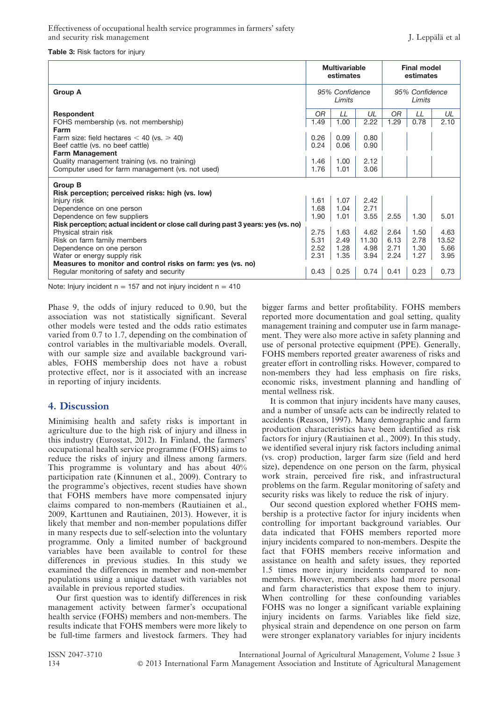#### Table 3: Risk factors for injury

|                                                                                  | <b>Multivariable</b><br>estimates |              |              | <b>Final model</b><br>estimates |      |       |
|----------------------------------------------------------------------------------|-----------------------------------|--------------|--------------|---------------------------------|------|-------|
| <b>Group A</b>                                                                   | 95% Confidence<br>Limits          |              |              | 95% Confidence<br>Limits        |      |       |
| Respondent                                                                       | ΟR                                | LL           | UL           | OR                              | LL   | UL    |
| FOHS membership (vs. not membership)<br>Farm                                     | 1.49                              | 1.00         | 2.22         | 1.29                            | 0.78 | 2.10  |
| Farm size: field hectares $<$ 40 (vs. $\ge$ 40)                                  | 0.26                              | 0.09         | 0.80         |                                 |      |       |
| Beef cattle (vs. no beef cattle)                                                 | 0.24                              | 0.06         | 0.90         |                                 |      |       |
| <b>Farm Management</b>                                                           |                                   |              |              |                                 |      |       |
| Quality management training (vs. no training)                                    | 1.46                              | 1.00         | 2.12         |                                 |      |       |
| Computer used for farm management (vs. not used)                                 | 1.76                              | 1.01         | 3.06         |                                 |      |       |
| <b>Group B</b><br>Risk perception; perceived risks: high (vs. low)               |                                   |              |              |                                 |      |       |
| Injury risk                                                                      | 1.61<br>1.68                      | 1.07<br>1.04 | 2.42<br>2.71 |                                 |      |       |
| Dependence on one person<br>Dependence on few suppliers                          | 1.90                              | 1.01         | 3.55         | 2.55                            | 1.30 | 5.01  |
| Risk perception; actual incident or close call during past 3 years: yes (vs. no) |                                   |              |              |                                 |      |       |
| Physical strain risk                                                             | 2.75                              | 1.63         | 4.62         | 2.64                            | 1.50 | 4.63  |
| Risk on farm family members                                                      | 5.31                              | 2.49         | 11.30        | 6.13                            | 2.78 | 13.52 |
| Dependence on one person                                                         | 2.52                              | 1.28         | 4.98         | 2.71                            | 1.30 | 5.66  |
| Water or energy supply risk                                                      | 2.31                              | 1.35         | 3.94         | 2.24                            | 1.27 | 3.95  |
| Measures to monitor and control risks on farm: yes (vs. no)                      |                                   |              |              |                                 |      |       |
| Regular monitoring of safety and security                                        | 0.43                              | 0.25         | 0.74         | 0.41                            | 0.23 | 0.73  |

Note: Injury incident  $n = 157$  and not injury incident  $n = 410$ 

Phase 9, the odds of injury reduced to 0.90, but the association was not statistically significant. Several other models were tested and the odds ratio estimates varied from 0.7 to 1.7, depending on the combination of control variables in the multivariable models. Overall, with our sample size and available background variables, FOHS membership does not have a robust protective effect, nor is it associated with an increase in reporting of injury incidents.

#### 4. Discussion

Minimising health and safety risks is important in agriculture due to the high risk of injury and illness in this industry (Eurostat, 2012). In Finland, the farmers' occupational health service programme (FOHS) aims to reduce the risks of injury and illness among farmers. This programme is voluntary and has about 40% participation rate (Kinnunen et al., 2009). Contrary to the programme's objectives, recent studies have shown that FOHS members have more compensated injury claims compared to non-members (Rautiainen et al., 2009, Karttunen and Rautiainen, 2013). However, it is likely that member and non-member populations differ in many respects due to self-selection into the voluntary programme. Only a limited number of background variables have been available to control for these differences in previous studies. In this study we examined the differences in member and non-member populations using a unique dataset with variables not available in previous reported studies.

Our first question was to identify differences in risk management activity between farmer's occupational health service (FOHS) members and non-members. The results indicate that FOHS members were more likely to be full-time farmers and livestock farmers. They had bigger farms and better profitability. FOHS members reported more documentation and goal setting, quality management training and computer use in farm management. They were also more active in safety planning and use of personal protective equipment (PPE). Generally, FOHS members reported greater awareness of risks and greater effort in controlling risks. However, compared to non-members they had less emphasis on fire risks, economic risks, investment planning and handling of mental wellness risk.

It is common that injury incidents have many causes, and a number of unsafe acts can be indirectly related to accidents (Reason, 1997). Many demographic and farm production characteristics have been identified as risk factors for injury (Rautiainen et al., 2009). In this study, we identified several injury risk factors including animal (vs. crop) production, larger farm size (field and herd size), dependence on one person on the farm, physical work strain, perceived fire risk, and infrastructural problems on the farm. Regular monitoring of safety and security risks was likely to reduce the risk of injury.

Our second question explored whether FOHS membership is a protective factor for injury incidents when controlling for important background variables. Our data indicated that FOHS members reported more injury incidents compared to non-members. Despite the fact that FOHS members receive information and assistance on health and safety issues, they reported 1.5 times more injury incidents compared to nonmembers. However, members also had more personal and farm characteristics that expose them to injury. When controlling for these confounding variables FOHS was no longer a significant variable explaining injury incidents on farms. Variables like field size, physical strain and dependence on one person on farm were stronger explanatory variables for injury incidents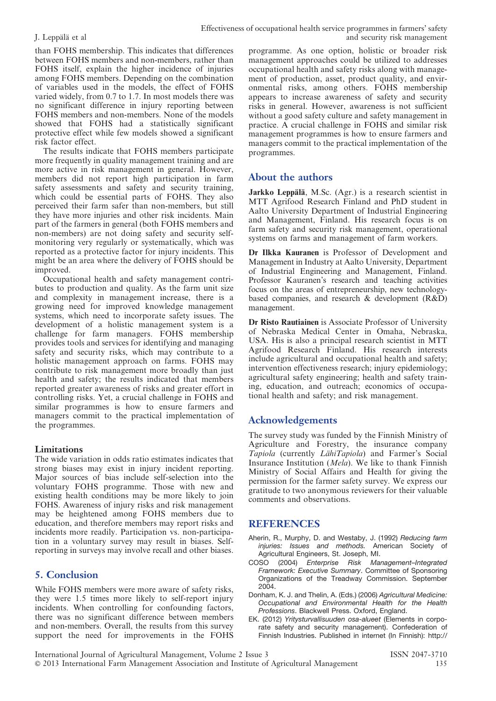than FOHS membership. This indicates that differences between FOHS members and non-members, rather than FOHS itself, explain the higher incidence of injuries among FOHS members. Depending on the combination of variables used in the models, the effect of FOHS varied widely, from 0.7 to 1.7. In most models there was no significant difference in injury reporting between FOHS members and non-members. None of the models showed that FOHS had a statistically significant protective effect while few models showed a significant risk factor effect.

The results indicate that FOHS members participate more frequently in quality management training and are more active in risk management in general. However, members did not report high participation in farm safety assessments and safety and security training, which could be essential parts of FOHS. They also perceived their farm safer than non-members, but still they have more injuries and other risk incidents. Main part of the farmers in general (both FOHS members and non-members) are not doing safety and security selfmonitoring very regularly or systematically, which was reported as a protective factor for injury incidents. This might be an area where the delivery of FOHS should be improved.

Occupational health and safety management contributes to production and quality. As the farm unit size and complexity in management increase, there is a growing need for improved knowledge management systems, which need to incorporate safety issues. The development of a holistic management system is a challenge for farm managers. FOHS membership provides tools and services for identifying and managing safety and security risks, which may contribute to a holistic management approach on farms. FOHS may contribute to risk management more broadly than just health and safety; the results indicated that members reported greater awareness of risks and greater effort in controlling risks. Yet, a crucial challenge in FOHS and similar programmes is how to ensure farmers and managers commit to the practical implementation of the programmes.

#### Limitations

The wide variation in odds ratio estimates indicates that strong biases may exist in injury incident reporting. Major sources of bias include self-selection into the voluntary FOHS programme. Those with new and existing health conditions may be more likely to join FOHS. Awareness of injury risks and risk management may be heightened among FOHS members due to education, and therefore members may report risks and incidents more readily. Participation vs. non-participation in a voluntary survey may result in biases. Selfreporting in surveys may involve recall and other biases.

#### 5. Conclusion

While FOHS members were more aware of safety risks, they were 1.5 times more likely to self-report injury incidents. When controlling for confounding factors, there was no significant difference between members and non-members. Overall, the results from this survey support the need for improvements in the FOHS programme. As one option, holistic or broader risk management approaches could be utilized to addresses occupational health and safety risks along with management of production, asset, product quality, and environmental risks, among others. FOHS membership appears to increase awareness of safety and security risks in general. However, awareness is not sufficient without a good safety culture and safety management in practice. A crucial challenge in FOHS and similar risk management programmes is how to ensure farmers and managers commit to the practical implementation of the programmes.

#### About the authors

Jarkko Leppälä, M.Sc. (Agr.) is a research scientist in MTT Agrifood Research Finland and PhD student in Aalto University Department of Industrial Engineering and Management, Finland. His research focus is on farm safety and security risk management, operational systems on farms and management of farm workers.

Dr Ilkka Kauranen is Professor of Development and Management in Industry at Aalto University, Department of Industrial Engineering and Management, Finland. Professor Kauranen's research and teaching activities focus on the areas of entrepreneurship, new technologybased companies, and research & development (R&D) management.

Dr Risto Rautiainen is Associate Professor of University of Nebraska Medical Center in Omaha, Nebraska, USA. His is also a principal research scientist in MTT Agrifood Research Finland. His research interests include agricultural and occupational health and safety; intervention effectiveness research; injury epidemiology; agricultural safety engineering; health and safety training, education, and outreach; economics of occupational health and safety; and risk management.

#### Acknowledgements

The survey study was funded by the Finnish Ministry of Agriculture and Forestry, the insurance company Tapiola (currently LähiTapiola) and Farmer's Social Insurance Institution (Mela). We like to thank Finnish Ministry of Social Affairs and Health for giving the permission for the farmer safety survey. We express our gratitude to two anonymous reviewers for their valuable comments and observations.

#### REFERENCES

- Aherin, R., Murphy, D. and Westaby, J. (1992) Reducing farm injuries: Issues and methods. American Society of Agricultural Engineers, St. Joseph, MI.
- COSO (2004) Enterprise Risk Management–Integrated Framework: Executive Summary. Committee of Sponsoring Organizations of the Treadway Commission. September 2004.
- Donham, K. J. and Thelin, A. (Eds.) (2006) Agricultural Medicine: Occupational and Environmental Health for the Health Professions. Blackwell Press. Oxford, England.
- EK. (2012) Yritysturvallisuuden osa-alueet (Elements in corporate safety and security management). Confederation of Finnish Industries. Published in internet (In Finnish): http://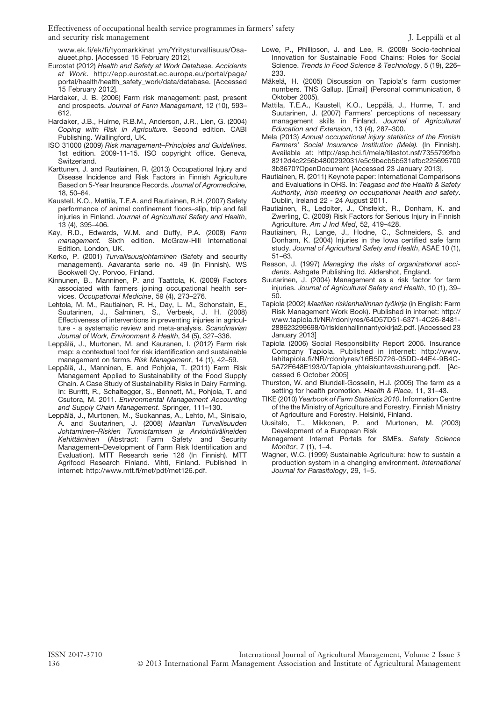www.ek.fi/ek/fi/tyomarkkinat\_ym/Yritysturvallisuus/Osaalueet.php. [Accessed 15 February 2012].

- Eurostat (2012) Health and Safety at Work Database. Accidents at Work. http://epp.eurostat.ec.europa.eu/portal/page/ portal/health/health\_safety\_work/data/database. [Accessed 15 February 2012].
- Hardaker, J. B. (2006) Farm risk management: past, present and prospects. Journal of Farm Management, 12 (10), 593– 612.
- Hardaker, J.B., Huirne, R.B.M., Anderson, J.R., Lien, G. (2004) Coping with Risk in Agriculture. Second edition. CABI Publishing. Wallingford, UK.
- ISO 31000 (2009) Risk management–Principles and Guidelines. 1st edition. 2009-11-15. ISO copyright office. Geneva, Switzerland.
- Karttunen, J. and Rautiainen, R. (2013) Occupational Injury and Disease Incidence and Risk Factors in Finnish Agriculture Based on 5-Year Insurance Records. Journal of Agromedicine, 18, 50–64.
- Kaustell, K.O., Mattila, T.E.A. and Rautiainen, R.H. (2007) Safety performance of animal confinement floors–slip, trip and fall injuries in Finland. Journal of Agricultural Safety and Health, 13 (4), 395–406.
- Kay, R.D., Edwards, W.M. and Duffy, P.A. (2008) Farm management. Sixth edition. McGraw-Hill International Edition. London, UK.
- Kerko, P. (2001) Turvallisuusjohtaminen (Safety and security management). Aavaranta serie no. 49 (In Finnish). WS Bookwell Oy. Porvoo, Finland.
- Kinnunen, B., Manninen, P. and Taattola, K. (2009) Factors associated with farmers joining occupational health services. Occupational Medicine, 59 (4), 273–276.
- Lehtola, M. M., Rautiainen, R. H., Day, L. M., Schonstein, E., Suutarinen, J., Salminen, S., Verbeek, J. H. (2008) Effectiveness of interventions in preventing injuries in agriculture - a systematic review and meta-analysis. Scandinavian Journal of Work, Environment & Health, 34 (5), 327–336.
- Leppälä, J., Murtonen, M. and Kauranen, I. (2012) Farm risk map: a contextual tool for risk identification and sustainable management on farms. Risk Management, 14 (1), 42–59.
- Leppälä, J., Manninen, E. and Pohjola, T. (2011) Farm Risk Management Applied to Sustainability of the Food Supply Chain. A Case Study of Sustainability Risks in Dairy Farming. In: Burritt, R., Schaltegger, S., Bennett, M., Pohjola, T. and Csutora, M. 2011. Environmental Management Accounting and Supply Chain Management. Springer, 111–130.
- Leppälä, J., Murtonen, M., Suokannas, A., Lehto, M., Sinisalo, A. and Suutarinen, J. (2008) Maatilan Turvallisuuden Johtaminen–Riskien Tunnistamisen ja Arviointivälineiden Kehittäminen (Abstract: Farm Safety and Security Management–Development of Farm Risk Identification and Evaluation). MTT Research serie 126 (In Finnish). MTT Agrifood Research Finland. Vihti, Finland. Published in internet: http://www.mtt.fi/met/pdf/met126.pdf.
- Lowe, P., Phillipson, J. and Lee, R. (2008) Socio-technical Innovation for Sustainable Food Chains: Roles for Social Science. Trends in Food Science & Technology, 5 (19), 226– 233.
- Mäkelä, H. (2005) Discussion on Tapiola's farm customer numbers. TNS Gallup. [Email] (Personal communication, 6 Oktober 2005).
- Mattila, T.E.A., Kaustell, K.O., Leppälä, J., Hurme, T. and Suutarinen, J. (2007) Farmers' perceptions of necessary management skills in Finland. Journal of Agricultural Education and Extension, 13 (4), 287–300.
- Mela (2013) Annual occupational injury statistics of the Finnish Farmers' Social Insurance Institution (Mela). (In Finnish). Available at: http://asp.hci.fi/mela/tilastot.nsf/7355799fbb 8212d4c2256b4800292031/e5c9becb5b531efbc225695700 3b3670?OpenDocument [Accessed 23 January 2013].
- Rautiainen, R. (2011) Keynote paper: International Comparisons and Evaluations in OHS. In: Teagasc and the Health & Safety Authority, Irish meeting on occupational health and safety. Dublin, Ireland 22 - 24 August 2011.
- Rautiainen, R., Ledolter, J., Ohsfeldt, R., Donham, K. and Zwerling, C. (2009) Risk Factors for Serious Injury in Finnish Agriculture. Am J Ind Med, 52, 419-428.
- Rautiainen, R., Lange, J., Hodne, C., Schneiders, S. and Donham, K. (2004) Injuries in the Iowa certified safe farm study. Journal of Agricultural Safety and Health, ASAE 10 (1), 51–63.
- Reason, J. (1997) Managing the risks of organizational accidents. Ashgate Publishing ltd. Aldershot, England.
- Suutarinen, J. (2004) Management as a risk factor for farm injuries. Journal of Agricultural Safety and Health, 10 (1), 39– 50.
- Tapiola (2002) Maatilan riskienhallinnan työkirja (in English: Farm Risk Management Work Book). Published in internet: http:// www.tapiola.fi/NR/rdonlyres/64D57D51-6371-4C26-8481- 288623299698/0/riskienhallinnantyokirja2.pdf. [Accessed 23 January 2013]
- Tapiola (2006) Social Responsibility Report 2005. Insurance Company Tapiola. Published in internet: http://www. lahitapiola.fi/NR/rdonlyres/16B5D726-05DD-44E4-9B4C-5A72F648E193/0/Tapiola\_yhteiskuntavastuureng.pdf. [Accessed 6 October 2005]
- Thurston, W. and Blundell-Gosselin, H.J. (2005) The farm as a setting for health promotion. Health & Place, 11, 31-43.
- TIKE (2010) Yearbook of Farm Statistics 2010. Information Centre of the the Ministry of Agriculture and Forestry. Finnish Ministry of Agriculture and Forestry. Helsinki, Finland.
- Uusitalo, T., Mikkonen, P. and Murtonen, M. (2003) Development of a European Risk
- Management Internet Portals for SMEs. Safety Science Monitor, 7 (1), 1–4.
- Wagner, W.C. (1999) Sustainable Agriculture: how to sustain a production system in a changing environment. International Journal for Parasitology, 29, 1–5.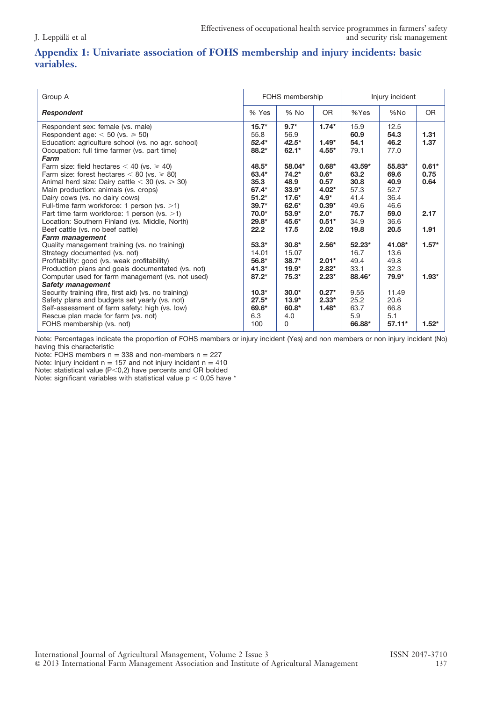### Appendix 1: Univariate association of FOHS membership and injury incidents: basic variables.

| Group A                                                                                                                                                                                                                                                                                                                                                                                    | Injury incident<br>FOHS membership                                          |                                                                                  |                                                                                |                                                                  |                                                                |                                 |
|--------------------------------------------------------------------------------------------------------------------------------------------------------------------------------------------------------------------------------------------------------------------------------------------------------------------------------------------------------------------------------------------|-----------------------------------------------------------------------------|----------------------------------------------------------------------------------|--------------------------------------------------------------------------------|------------------------------------------------------------------|----------------------------------------------------------------|---------------------------------|
| <b>Respondent</b>                                                                                                                                                                                                                                                                                                                                                                          | % Yes                                                                       | $%$ No                                                                           | OR.                                                                            | %Yes                                                             | %No                                                            | <b>OR</b>                       |
| Respondent sex: female (vs. male)<br>Respondent age: $<$ 50 (vs. $\ge$ 50)<br>Education: agriculture school (vs. no agr. school)<br>Occupation: full time farmer (vs. part time)<br>Farm                                                                                                                                                                                                   | $15.7*$<br>55.8<br>$52.4*$<br>88.2*                                         | $9.7*$<br>56.9<br>$42.5*$<br>$62.1*$                                             | $1.74*$<br>$1.49*$<br>$4.55*$                                                  | 15.9<br>60.9<br>54.1<br>79.1                                     | 12.5<br>54.3<br>46.2<br>77.0                                   | 1.31<br>1.37                    |
| Farm size: field hectares $<$ 40 (vs. $\ge$ 40)<br>Farm size: forest hectares $< 80$ (vs. $\geq 80$ )<br>Animal herd size: Dairy cattle $<$ 30 (vs. $\ge$ 30)<br>Main production: animals (vs. crops)<br>Dairy cows (vs. no dairy cows)<br>Full-time farm workforce: 1 person (vs. >1)<br>Part time farm workforce: 1 person (vs. $>1$ )<br>Location: Southern Finland (vs. Middle, North) | 48.5*<br>63.4*<br>35.3<br>67.4*<br>$51.2*$<br>$39.7*$<br>$70.0*$<br>$29.8*$ | 58.04*<br>$74.2*$<br>48.9<br>$33.9*$<br>$17.6*$<br>$62.6*$<br>$53.9*$<br>$45.6*$ | $0.68*$<br>$0.6*$<br>0.57<br>$4.02*$<br>$4.9*$<br>$0.39*$<br>$2.0*$<br>$0.51*$ | $43.59*$<br>63.2<br>30.8<br>57.3<br>41.4<br>49.6<br>75.7<br>34.9 | 55.83*<br>69.6<br>40.9<br>52.7<br>36.4<br>46.6<br>59.0<br>36.6 | $0.61*$<br>0.75<br>0.64<br>2.17 |
| Beef cattle (vs. no beef cattle)<br><b>Farm management</b><br>Quality management training (vs. no training)<br>Strategy documented (vs. not)<br>Profitability: good (vs. weak profitability)<br>Production plans and goals documentated (vs. not)<br>Computer used for farm management (vs. not used)                                                                                      | 22.2<br>$53.3*$<br>14.01<br>56.8*<br>$41.3*$<br>$87.2*$                     | 17.5<br>$30.8*$<br>15.07<br>$38.7*$<br>$19.9*$<br>$75.3*$                        | 2.02 <sub>1</sub><br>$2.56*$<br>$2.01*$<br>$2.82*$<br>$2.23*$                  | 19.8<br>$52.23*$<br>16.7<br>49.4<br>33.1<br>88.46*               | 20.5<br>41.08*<br>13.6<br>49.8<br>32.3<br>79.9*                | 1.91<br>$1.57*$<br>$1.93*$      |
| <b>Safety management</b><br>Security training (fire, first aid) (vs. no training)<br>Safety plans and budgets set yearly (vs. not)<br>Self-assessment of farm safety: high (vs. low)<br>Rescue plan made for farm (vs. not)<br>FOHS membership (vs. not)                                                                                                                                   | $10.3*$<br>$27.5*$<br>69.6*<br>6.3<br>100                                   | $30.0*$<br>$13.9*$<br>60.8*<br>4.0<br>0                                          | $0.27*$<br>$2.33*$<br>$1.48*$                                                  | 9.55<br>25.2<br>63.7<br>5.9<br>66.88*                            | 11.49<br>20.6<br>66.8<br>5.1<br>$57.11*$                       | $1.52*$                         |

Note: Percentages indicate the proportion of FOHS members or injury incident (Yes) and non members or non injury incident (No) having this characteristic

Note: FOHS members  $n = 338$  and non-members  $n = 227$ 

Note: Injury incident  $n = 157$  and not injury incident  $n = 410$ 

Note: statistical value ( $P<$ 0,2) have percents and OR bolded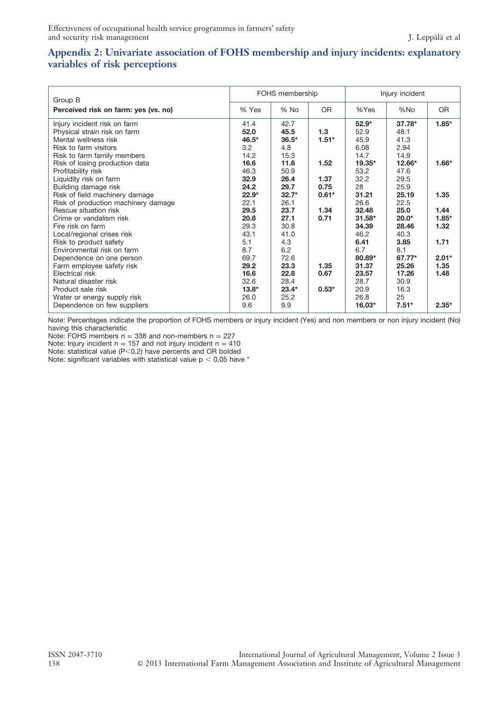#### Appendix 2: Univariate association of FOHS membership and injury incidents: explanatory variables of risk perceptions

| Group B                                                                                                                                                                        |                                              | FOHS membership                                |                         | Injury incident                                     |                                                    |                                 |  |
|--------------------------------------------------------------------------------------------------------------------------------------------------------------------------------|----------------------------------------------|------------------------------------------------|-------------------------|-----------------------------------------------------|----------------------------------------------------|---------------------------------|--|
| Perceived risk on farm: yes (vs. no)                                                                                                                                           | % Yes                                        | % No                                           | <b>OR</b>               | %Yes                                                | %No                                                | <b>OR</b>                       |  |
| Injury incident risk on farm<br>Physical strain risk on farm<br>Mental wellness risk<br>Risk to farm visitors<br>Risk to farm family members<br>Risk of losing production data | 41.4<br>52.0<br>46.5*<br>3.2<br>14.2<br>16.6 | 42.7<br>45.5<br>$36.5*$<br>4.8<br>15.3<br>11.6 | 1.3<br>$1.51*$<br>1.52  | $52.9*$<br>52.9<br>45.9<br>6.08<br>14.7<br>$19.35*$ | $37.78*$<br>48.1<br>41.3<br>2.94<br>14.9<br>12.66* | $1.85*$<br>$1.66*$              |  |
| Profitability risk<br>Liquidity risk on farm<br>Building damage risk<br>Risk of field machinery damage                                                                         | 46.3<br>32.9<br>24.2<br>$22.9*$              | 50.9<br>26.4<br>29.7<br>$32.7*$                | 1.37<br>0.75<br>$0.61*$ | 53.2<br>32.2<br>28<br>31.21                         | 47.6<br>29.5<br>25.9<br>25.19                      | 1.35                            |  |
| Risk of production machinery damage<br>Rescue situation risk<br>Crime or vandalism risk<br>Fire risk on farm<br>Local/regional crises risk                                     | 22.1<br>29.5<br>20.8<br>29.3<br>43.1         | 26.1<br>23.7<br>27.1<br>30.8<br>41.0           | 1.34<br>0.71            | 26.6<br>32.48<br>$31.58*$<br>34.39<br>46.2          | 22.5<br>25.0<br>$20.0*$<br>28.46<br>40.3           | 1.44<br>$1.85*$<br>1.32         |  |
| Risk to product safety<br>Environmental risk on farm<br>Dependence on one person<br>Farm employee safety risk<br>Electrical risk                                               | 5.1<br>8.7<br>69.7<br>29.2<br>16.6           | 4.3<br>6.2<br>72.6<br>23.3<br>22.8             | 1.35<br>0.67            | 6.41<br>6.7<br>80.89*<br>31.37<br>23.57             | 3.85<br>8.1<br>67.77*<br>25.26<br>17.26            | 1.71<br>$2.01*$<br>1.35<br>1.48 |  |
| Natural disaster risk<br>Product sale risk<br>Water or energy supply risk<br>Dependence on few suppliers                                                                       | 32.6<br>$13.8*$<br>26.0<br>9.6               | 28.4<br>$23.4*$<br>25.2<br>9.9                 | $0.53*$                 | 28.7<br>20.9<br>26.8<br>16.03*                      | 30.9<br>16.3<br>25<br>$7.51*$                      | $2.35*$                         |  |

Note: Percentages indicate the proportion of FOHS members or injury incident (Yes) and non members or non injury incident (No) having this characteristic

Note: FOHS members  $n = 338$  and non-members  $n = 227$ 

Note: Injury incident  $n = 157$  and not injury incident  $n = 410$ 

Note: statistical value (P<0,2) have percents and OR bolded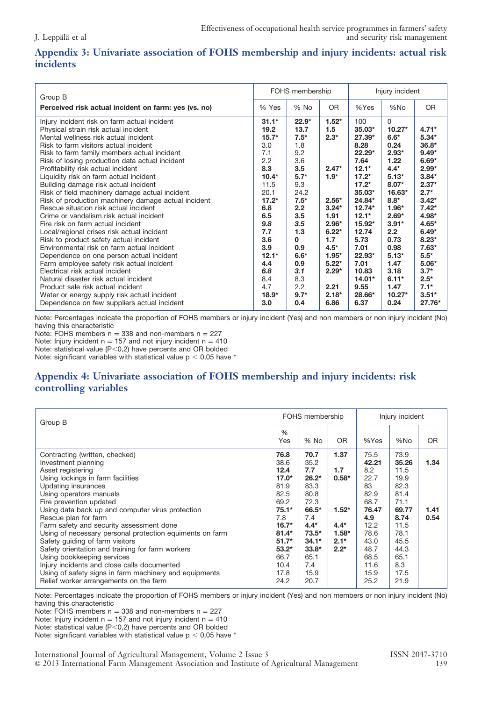## Appendix 3: Univariate association of FOHS membership and injury incidents: actual risk incidents

|                                                                 | FOHS membership |          |           |          | Injury incident |           |
|-----------------------------------------------------------------|-----------------|----------|-----------|----------|-----------------|-----------|
| Group B<br>Perceived risk actual incident on farm: yes (vs. no) | % Yes           | $%$ No   | <b>OR</b> | %Yes     | %No             | <b>OR</b> |
|                                                                 |                 |          |           |          |                 |           |
| Injury incident risk on farm actual incident                    | $31.1*$         | $22.9*$  | $1.52*$   | 100      | 0               |           |
| Physical strain risk actual incident                            | 19.2            | 13.7     | 1.5       | $35.03*$ | $10.27*$        | $4.71*$   |
| Mental wellness risk actual incident                            | $15.7*$         | $7.5*$   | $2.3*$    | 27.39*   | $6.6*$          | $5.34*$   |
| Risk to farm visitors actual incident                           | 3.0             | 1.8      |           | 8.28     | 0.24            | $36.8*$   |
| Risk to farm family members actual incident                     | 7.1             | 9.2      |           | 22.29*   | $2.93*$         | $9.49*$   |
| Risk of losing production data actual incident                  | 2.2             | 3.6      |           | 7.64     | 1.22            | $6.69*$   |
| Profitability risk actual incident                              | 8.3             | 3.5      | $2.47*$   | $12.1*$  | $4.4*$          | $2.99*$   |
| Liquidity risk on farm actual incident                          | $10.4*$         | $5.7*$   | $1.9*$    | $17.2*$  | $5.13*$         | $3.84*$   |
| Building damage risk actual incident                            | 11.5            | 9.3      |           | $17.2*$  | $8.07*$         | $2.37*$   |
| Risk of field machinery damage actual incident                  | 20.1            | 24.2     |           | $35.03*$ | $16.63*$        | $2.7*$    |
| Risk of production machinery damage actual incident             | $17.2*$         | $7.5*$   | $2.56*$   | 24.84*   | $8.8*$          | $3.42*$   |
| Rescue situation risk actual incident                           | 6.8             | 2.2      | $3.24*$   | $12.74*$ | $1.96*$         | $7.42*$   |
| Crime or vandalism risk actual incident                         | 6.5             | 3.5      | 1.91      | $12.1*$  | $2.69*$         | 4.98*     |
| Fire risk on farm actual incident                               | 9.8             | 3.5      | $2.96*$   | 15.92*   | $3.91*$         | 4.65*     |
| Local/regional crises risk actual incident                      | 7.7             | 1.3      | $6.22*$   | 12.74    | 2.2             | $6.49*$   |
| Risk to product safety actual incident                          | 3.6             | $\Omega$ | 1.7       | 5.73     | 0.73            | $8.23*$   |
| Environmental risk on farm actual incident                      | 3.9             | 0.9      | $4.5*$    | 7.01     | 0.98            | $7.63*$   |
| Dependence on one person actual incident                        | $12.1*$         | $6.6*$   | $1.95*$   | 22.93*   | $5.13*$         | $5.5*$    |
| Farm employee safety risk actual incident                       | 4.4             | 0.9      | $5.22*$   | 7.01     | 1.47            | $5.06*$   |
| Electrical risk actual incident                                 | 6.8             | 3.1      | $2.29*$   | 10.83    | 3.18            | $3.7*$    |
| Natural disaster risk actual incident                           | 8.4             | 8.3      |           | $14.01*$ | $6.11*$         | $2.5*$    |
| Product sale risk actual incident                               | 4.7             | 2.2      | 2.21      | 9.55     | 1.47            | $7.1*$    |
| Water or energy supply risk actual incident                     | $18.9*$         | $9.7*$   | $2.18*$   | 28.66*   | $10.27*$        | $3.51*$   |
| Dependence on few suppliers actual incident                     | 3.0             | 0.4      | 6.86      | 6.37     | 0.24            | 27.76*    |

Note: Percentages indicate the proportion of FOHS members or injury incident (Yes) and non members or non injury incident (No) having this characteristic

Note: FOHS members  $n = 338$  and non-members  $n = 227$ Note: Injury incident  $n = 157$  and not injury incident  $n = 410$ 

Note: statistical value ( $P < 0.2$ ) have percents and OR bolded

Note: significant variables with statistical value  $p < 0.05$  have  $*$ 

#### Appendix 4: Univariate association of FOHS membership and injury incidents: risk controlling variables

| Group B                                                                                                                                                                                                                                                                                                                                                                                                                                                                                                                                                                                                                                                  |                                                                                                                                                       | FOHS membership                                                                                                                                  |                                                                            | Injury incident                                                                                                                    |                                                                                                                                       |                      |
|----------------------------------------------------------------------------------------------------------------------------------------------------------------------------------------------------------------------------------------------------------------------------------------------------------------------------------------------------------------------------------------------------------------------------------------------------------------------------------------------------------------------------------------------------------------------------------------------------------------------------------------------------------|-------------------------------------------------------------------------------------------------------------------------------------------------------|--------------------------------------------------------------------------------------------------------------------------------------------------|----------------------------------------------------------------------------|------------------------------------------------------------------------------------------------------------------------------------|---------------------------------------------------------------------------------------------------------------------------------------|----------------------|
|                                                                                                                                                                                                                                                                                                                                                                                                                                                                                                                                                                                                                                                          | $\%$<br>Yes                                                                                                                                           | $%$ No                                                                                                                                           | OR.                                                                        | %Yes                                                                                                                               | %No                                                                                                                                   | <b>OR</b>            |
| Contracting (written, checked)<br>Investment planning<br>Asset registering<br>Using lockings in farm facilities<br>Updating insurances<br>Using operators manuals<br>Fire prevention updated<br>Using data back up and computer virus protection<br>Rescue plan for farm<br>Farm safety and security assessment done<br>Using of necessary personal protection equiments on farm<br>Safety quiding of farm visitors<br>Safety orientation and training for farm workers<br>Using bookkeeping services<br>Injury incidents and close calls documented<br>Using of safety signs in farm machinery and equipments<br>Relief worker arrangements on the farm | 76.8<br>38.6<br>12.4<br>$17.0*$<br>81.9<br>82.5<br>69.2<br>$75.1*$<br>7.8<br>$16.7*$<br>$81.4*$<br>$51.7*$<br>$53.2*$<br>66.7<br>10.4<br>17.8<br>24.2 | 70.7<br>35.2<br>7.7<br>$26.2*$<br>83.3<br>80.8<br>72.3<br>66.5*<br>7.4<br>$4.4*$<br>$73.5*$<br>$34.1*$<br>$33.8*$<br>65.1<br>7.4<br>15.9<br>20.7 | 1.37<br>1.7<br>$0.58*$<br>$1.52*$<br>$4.4*$<br>$1.58*$<br>$2.1*$<br>$2.2*$ | 75.5<br>42.21<br>8.2<br>22.7<br>83<br>82.9<br>68.7<br>76.47<br>4.9<br>12.2<br>78.6<br>43.0<br>48.7<br>68.5<br>11.6<br>15.9<br>25.2 | 73.9<br>35.26<br>11.5<br>19.9<br>82.3<br>81.4<br>71.1<br>69.77<br>8.74<br>11.5<br>78.1<br>45.5<br>44.3<br>65.1<br>8.3<br>17.5<br>21.9 | 1.34<br>1.41<br>0.54 |

Note: Percentages indicate the proportion of FOHS members or injury incident (Yes) and non members or non injury incident (No) having this characteristic

Note: FOHS members  $n = 338$  and non-members  $n = 227$ 

Note: Injury incident  $n = 157$  and not injury incident  $n = 410$ 

Note: statistical value ( $P<0,2$ ) have percents and OR bolded